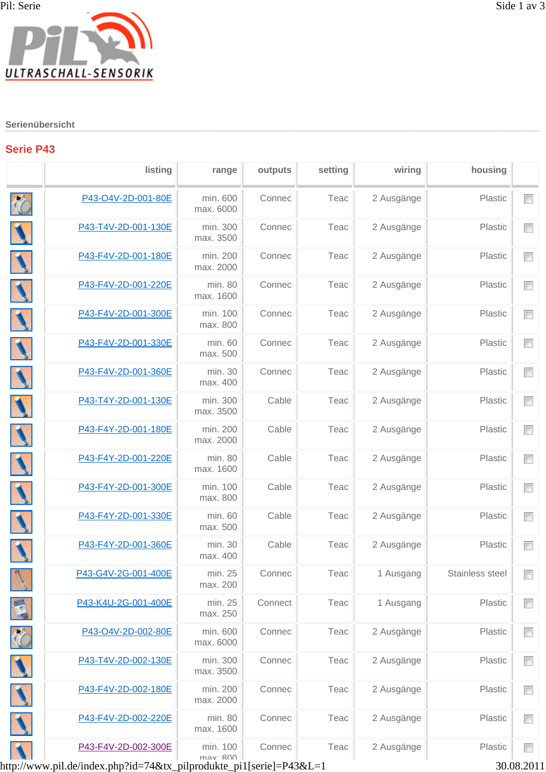## **Serienübersicht**

## **Serie P43**

|              | listing             | range                 | outputs | setting | wiring     | housing         |        |
|--------------|---------------------|-----------------------|---------|---------|------------|-----------------|--------|
| ło           | P43-O4V-2D-001-80E  | min. 600<br>max. 6000 | Connec  | Teac    | 2 Ausgänge | Plastic         | $\Box$ |
|              | P43-T4V-2D-001-130E | min. 300<br>max. 3500 | Connec  | Teac    | 2 Ausgänge | Plastic         | n      |
|              | P43-F4V-2D-001-180E | min. 200<br>max. 2000 | Connec  | Teac    | 2 Ausgänge | Plastic         |        |
|              | P43-F4V-2D-001-220E | min. 80<br>max. 1600  | Connec  | Teac    | 2 Ausgänge | Plastic         | $\Box$ |
|              | P43-F4V-2D-001-300E | min. 100<br>max. 800  | Connec  | Teac    | 2 Ausgänge | Plastic         | n      |
|              | P43-F4V-2D-001-330E | min. 60<br>max. 500   | Connec  | Teac    | 2 Ausgänge | Plastic         | $\Box$ |
|              | P43-F4V-2D-001-360E | min. 30<br>max. 400   | Connec  | Teac    | 2 Ausgänge | Plastic         | $\Box$ |
|              | P43-T4Y-2D-001-130E | min. 300<br>max. 3500 | Cable   | Teac    | 2 Ausgänge | Plastic         | $\Box$ |
|              | P43-F4Y-2D-001-180E | min. 200<br>max. 2000 | Cable   | Teac    | 2 Ausgänge | Plastic         | $\Box$ |
|              | P43-F4Y-2D-001-220E | min. 80<br>max. 1600  | Cable   | Teac    | 2 Ausgänge | Plastic         | $\Box$ |
|              | P43-F4Y-2D-001-300E | min. 100<br>max. 800  | Cable   | Teac    | 2 Ausgänge | Plastic         | $\Box$ |
|              | P43-F4Y-2D-001-330E | min. 60<br>max. 500   | Cable   | Teac    | 2 Ausgänge | Plastic         | $\Box$ |
|              | P43-F4Y-2D-001-360E | min. 30<br>max. 400   | Cable   | Teac    | 2 Ausgänge | Plastic         | $\Box$ |
| $\mathbf{R}$ | P43-G4V-2G-001-400E | min. 25<br>max. 200   | Connec  | Teac    | 1 Ausgang  | Stainless steel | $\Box$ |
|              | P43-K4U-2G-001-400E | min. 25<br>max. 250   | Connect | Teac    | 1 Ausgang  | Plastic         |        |
|              | P43-O4V-2D-002-80E  | min. 600<br>max. 6000 | Connec  | Teac    | 2 Ausgänge | Plastic         | $\Box$ |
|              | P43-T4V-2D-002-130E | min. 300<br>max. 3500 | Connec  | Teac    | 2 Ausgänge | Plastic         |        |
|              | P43-F4V-2D-002-180E | min. 200<br>max. 2000 | Connec  | Teac    | 2 Ausgänge | Plastic         | $\Box$ |
|              | P43-F4V-2D-002-220E | min. 80<br>max. 1600  | Connec  | Teac    | 2 Ausgänge | Plastic         | ▛      |
|              | P43-F4V-2D-002-300E | min. 100<br>may 800   | Connec  | Teac    | 2 Ausgänge | Plastic         | $\Box$ |

nax. 800 |<br>http://www.pil.de/index.php?id=74&tx\_pilprodukte\_pi1[serie]=P43&L=1 30.08.2011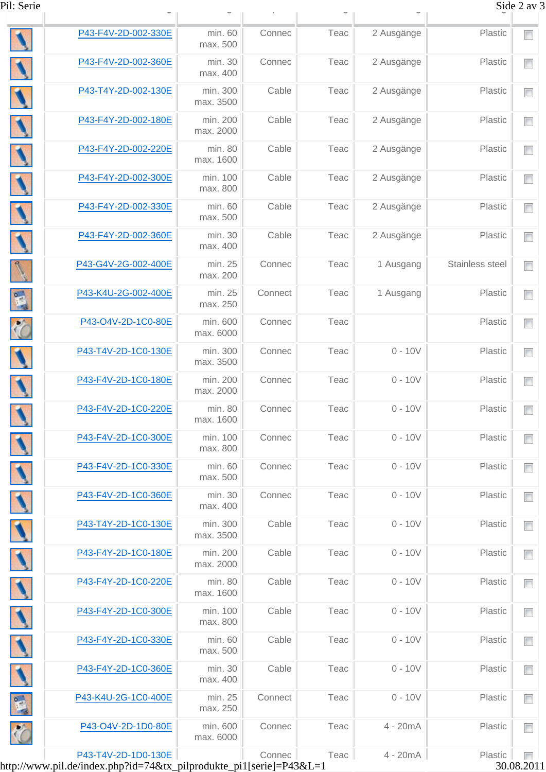| Pil: Serie |                     |                       |         |      |            |                 | Side 2 av 3                   |
|------------|---------------------|-----------------------|---------|------|------------|-----------------|-------------------------------|
|            | P43-F4V-2D-002-330E | min. 60<br>max. 500   | Connec  | Teac | 2 Ausgänge | Plastic         |                               |
|            | P43-F4V-2D-002-360E | min. 30<br>max. 400   | Connec  | Teac | 2 Ausgänge | Plastic         | $\blacksquare$                |
|            | P43-T4Y-2D-002-130E | min. 300<br>max. 3500 | Cable   | Teac | 2 Ausgänge | Plastic         | $\Box$                        |
|            | P43-F4Y-2D-002-180E | min. 200<br>max. 2000 | Cable   | Teac | 2 Ausgänge | Plastic         | $\blacksquare$                |
|            | P43-F4Y-2D-002-220E | min. 80<br>max. 1600  | Cable   | Teac | 2 Ausgänge | Plastic         | $\Box$                        |
|            | P43-F4Y-2D-002-300E | min. 100<br>max. 800  | Cable   | Teac | 2 Ausgänge | Plastic         | $\Box$                        |
|            | P43-F4Y-2D-002-330E | min. 60<br>max. 500   | Cable   | Teac | 2 Ausgänge | Plastic         | $\Box$                        |
|            | P43-F4Y-2D-002-360E | min. 30<br>max. 400   | Cable   | Teac | 2 Ausgänge | Plastic         | $\Box$                        |
|            | P43-G4V-2G-002-400E | min. 25<br>max. 200   | Connec  | Teac | 1 Ausgang  | Stainless steel | $\Box$                        |
|            | P43-K4U-2G-002-400E | min. 25<br>max. 250   | Connect | Teac | 1 Ausgang  | Plastic         | $\blacksquare$                |
|            | P43-O4V-2D-1C0-80E  | min. 600<br>max. 6000 | Connec  | Teac |            | Plastic         | $\Box$                        |
|            | P43-T4V-2D-1C0-130E | min. 300<br>max. 3500 | Connec  | Teac | $0 - 10V$  | Plastic         | $\Box$                        |
|            | P43-F4V-2D-1C0-180E | min. 200<br>max. 2000 | Connec  | Teac | $0 - 10V$  | Plastic         | $\Box$                        |
|            | P43-F4V-2D-1C0-220E | min. 80<br>max. 1600  | Connec  | Teac | $0 - 10V$  | Plastic         | П<br><b>Contract Contract</b> |
|            | P43-F4V-2D-1C0-300E | min. 100<br>max. 800  | Connec  | Teac | $0 - 10V$  | Plastic         | $\Box$                        |
|            | P43-F4V-2D-1C0-330E | min. 60<br>max. 500   | Connec  | Teac | $0 - 10V$  | Plastic         | $\Box$                        |
|            | P43-F4V-2D-1C0-360E | min. 30<br>max. 400   | Connec  | Teac | $0 - 10V$  | Plastic         | $\Box$                        |
|            | P43-T4Y-2D-1C0-130E | min. 300<br>max. 3500 | Cable   | Teac | $0 - 10V$  | Plastic         | $\Box$                        |
|            | P43-F4Y-2D-1C0-180E | min. 200<br>max. 2000 | Cable   | Teac | $0 - 10V$  | Plastic         | $\Box$                        |
|            | P43-F4Y-2D-1C0-220E | min. 80<br>max. 1600  | Cable   | Teac | $0 - 10V$  | Plastic         | $\Box$                        |
|            | P43-F4Y-2D-1C0-300E | min. 100<br>max. 800  | Cable   | Teac | $0 - 10V$  | Plastic         | $\Box$                        |
|            | P43-F4Y-2D-1C0-330E | min. 60<br>max. 500   | Cable   | Teac | $0 - 10V$  | Plastic         | $\Box$                        |
|            | P43-F4Y-2D-1C0-360E | min. 30<br>max. 400   | Cable   | Teac | $0 - 10V$  | Plastic         | $\Box$                        |
|            | P43-K4U-2G-1C0-400E | min. 25<br>max. 250   | Connect | Teac | $0 - 10V$  | Plastic         | $\Box$                        |
|            | P43-O4V-2D-1D0-80E  | min. 600<br>max. 6000 | Connec  | Teac | $4 - 20mA$ | Plastic         | $\Box$                        |
|            | P43-T4V-2D-1D0-130E |                       | Connec  | Teac | 4 - 20mA   | Plastic         | m                             |

http://www.pil.de/index.php?id=74&tx\_pilprodukte\_pi1[serie]=P43&L=1 30.08.2011